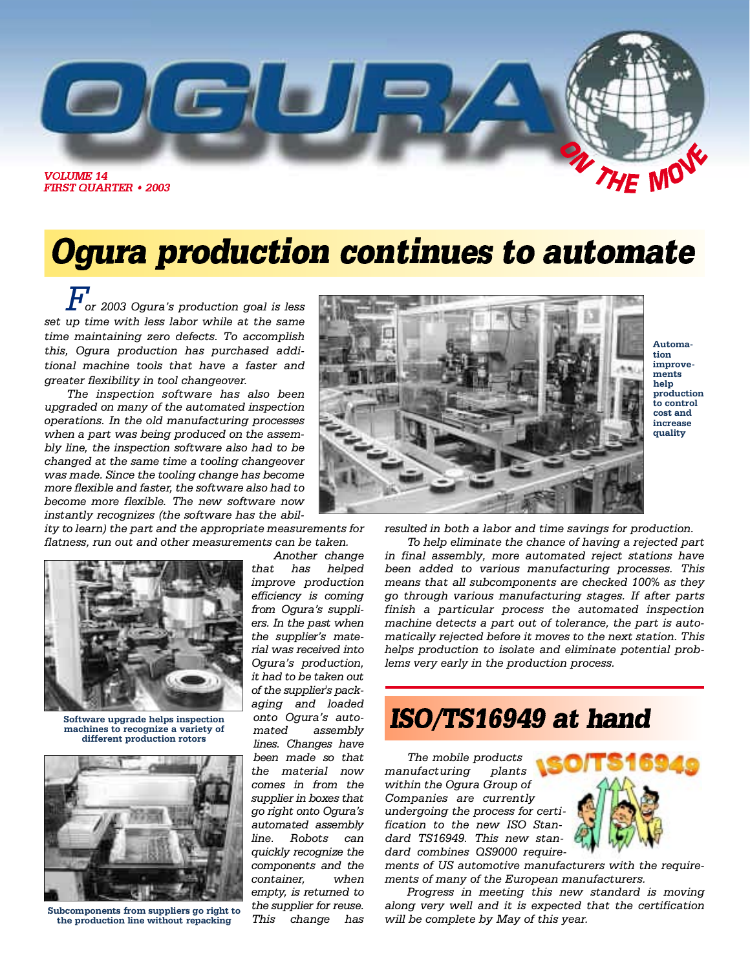

# Ogura production continues to automate

*For 2003 Ogura's production goal is less set up time with less labor while at the same time maintaining zero defects. To accomplish this, Ogura production has purchased additional machine tools that have a faster and greater flexibility in tool changeover.*

*The inspection software has also been upgraded on many of the automated inspection operations. In the old manufacturing processes when a part was being produced on the assembly line, the inspection software also had to be changed at the same time a tooling changeover was made. Since the tooling change has become more flexible and faster, the software also had to become more flexible. The new software now instantly recognizes (the software has the abil-*

*ity to learn) the part and the appropriate measurements for flatness, run out and other measurements can be taken.*



**Software upgrade helps inspection machines to recognize a variety of different production rotors**



**Subcomponents from suppliers go right to the production line without repacking**

*Another change that has helped improve production efficiency is coming from Ogura's suppliers. In the past when the supplier's material was received into Ogura's production, it had to be taken out of the supplier's packaging and loaded onto Ogura's automated assembly lines. Changes have been made so that the material now comes in from the supplier in boxes that go right onto Ogura's automated assembly line. Robots can quickly recognize the components and the container,* when empty, is returned to *the supplier for reuse. This change has*



**Automation improvements help production to control cost and increase quality**

*resulted in both a labor and time savings for production.*

*To help eliminate the chance of having a rejected part in final assembly, more automated reject stations have been added to various manufacturing processes. This means that all subcomponents are checked 100% as they go through various manufacturing stages. If after parts finish a particular process the automated inspection machine detects a part out of tolerance, the part is automatically rejected before it moves to the next station. This helps production to isolate and eliminate potential problems very early in the production process.*

## ISO/TS16949 at hand

*The mobile products manufacturing plants within the Ogura Group of Companies are currently undergoing the process for certification to the new ISO Standard TS16949. This new standard combines QS9000 require-*



*ments of US automotive manufacturers with the requirements of many of the European manufacturers.*

*Progress in meeting this new standard is moving along very well and it is expected that the certification will be complete by May of this year.*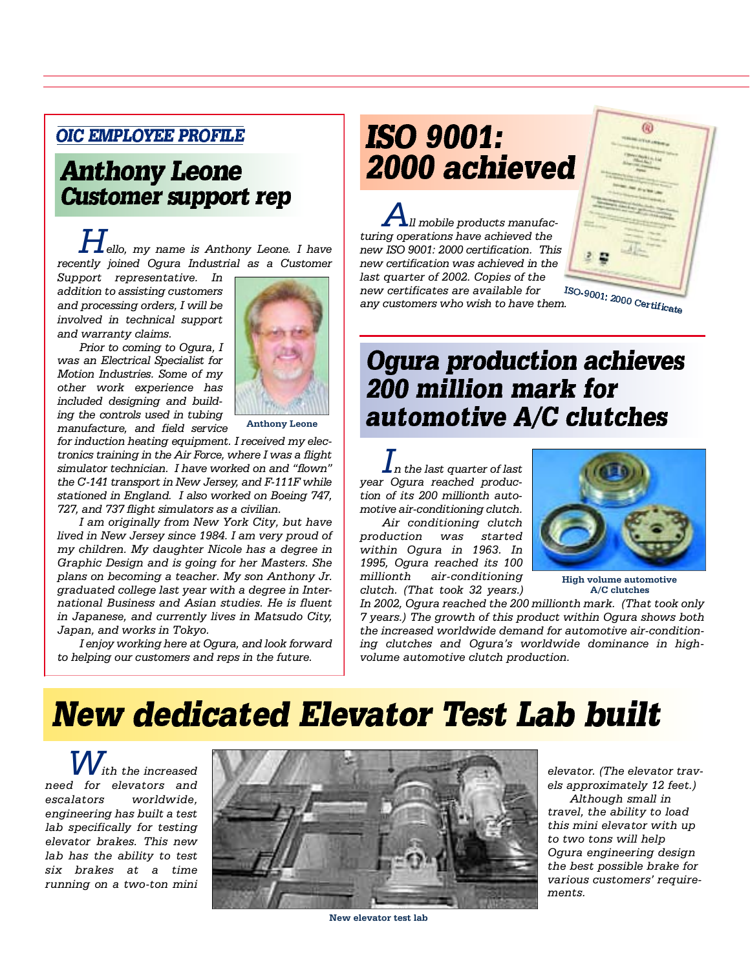### **OIC EMPLOYEE PROFILE**

### **Anthony Leone Customer support rep**

*Hello, my name is Anthony Leone. I have recently joined Ogura Industrial as a Customer*

*Support representative. In addition to assisting customers and processing orders, I will be involved in technical support and warranty claims.*

*Prior to coming to Ogura, I was an Electrical Specialist for Motion Industries. Some of my other work experience has included designing and building the controls used in tubing manufacture, and field service* 



**Anthony Leone**

*for induction heating equipment. I received my electronics training in the Air Force, where I was a flight simulator technician. I have worked on and "flown" the C-141 transport in New Jersey, and F-111F while stationed in England. I also worked on Boeing 747, 727, and 737 flight simulators as a civilian.* 

*I am originally from New York City, but have lived in New Jersey since 1984. I am very proud of my children. My daughter Nicole has a degree in Graphic Design and is going for her Masters. She plans on becoming a teacher. My son Anthony Jr. graduated college last year with a degree in International Business and Asian studies. He is fluent in Japanese, and currently lives in Matsudo City, Japan, and works in Tokyo.*

*I enjoy working here at Ogura, and look forward to helping our customers and reps in the future.*

## **ISO 9001:** 2000 achieved

*All mobile products manufacturing operations have achieved the new ISO 9001: 2000 certification. This new certification was achieved in the last quarter of 2002. Copies of the new certificates are available for* **have certificates are available ror with the many customers who wish to have them.** 



## **Ogura production achieves** 200 million mark for automotive A/C clutches

*In the last quarter of last year Ogura reached production of its 200 millionth automotive air-conditioning clutch. Air conditioning clutch*

*production was started within Ogura in 1963. In 1995, Ogura reached its 100 millionth air-conditioning clutch. (That took 32 years.)*



**High volume automotive A/C clutches**

*In 2002, Ogura reached the 200 millionth mark. (That took only 7 years.) The growth of this product within Ogura shows both the increased worldwide demand for automotive air-conditioning clutches and Ogura's worldwide dominance in highvolume automotive clutch production.*

# **New dedicated Elevator Test Lab built**

*With the increased need for elevators and escalators worldwide, engineering has built a test lab specifically for testing elevator brakes. This new lab has the ability to test six brakes at a time running on a two-ton mini*



**New elevator test lab**

elevator. (The elevator trav*els approximately 12 feet.)* 

*Although small in travel, the ability to load this mini elevator with up to two tons will help Ogura engineering design the best possible brake for various customers' requirem e n t s .*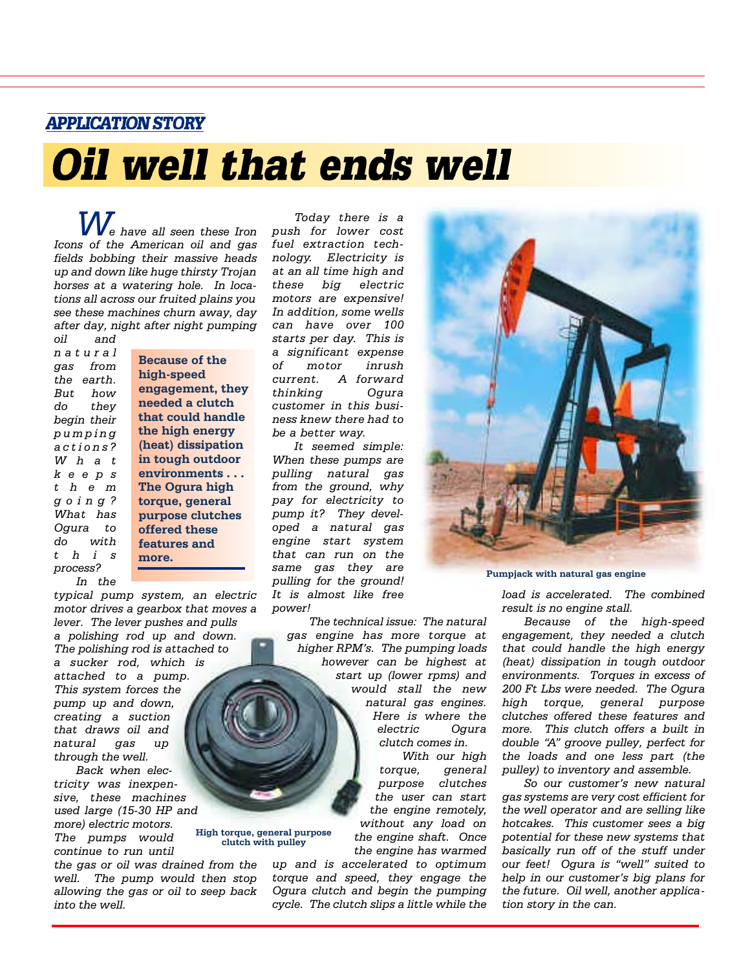**APPLICATION STORY** 

# Oil well that ends well

*We have all seen these Iron Icons of the American oil and gas fields bobbing their massive heads up and down like huge thirsty Trojan horses at a watering hole. In locations all across our fruited plains you see these machines churn away, day after day, night after night pumping oil and*

*n a t u r a l gas from the earth. But how do they begin their p u m p i n g a c t i o n s ? W h a t k e e p s t h e m g o i n g ? What has Ogura to do with t h i s process? In the*

**Because of the high-speed engagement, they needed a clutch that could handle the high energy (heat) dissipation in tough outdoor environments . . . The Ogura high torque, general purpose clutches offered these features and more.**

*typical pump system, an electric motor drives a gearbox that moves a lever. The lever pushes and pulls a polishing rod up and down. The polishing rod is attached to a sucker rod, which is attached to a pump. This system forces the pump up and down, creating a suction that draws oil and natural gas up through the well.* 

*Back when electricity was inexpensive, these machines used large (15-30 HP and more) electric motors.*

*The pumps would continue to run until the gas or oil was drained from the* **High torque, general purpose**

*well. The pump would then stop allowing the gas or oil to seep back into the well.*

**clutch with pulley**

*Today there is a push for lower cost fuel extraction techn o l o g y. Electricity is at an all time high and these big electric motors are expensive! In addition, some wells can have over 100 starts per day. This is a significant expense of motor inrush current.* A forward *thinking Ogura customer in this business knew there had to be a better way.*

*It seemed simple: When these pumps are pulling natural gas from the ground, why pay for electricity to pump it? They developed a natural gas engine start system that can run on the same gas they are pulling for the ground! It is almost like free power!*

> *The technical issue: The natural gas engine has more torque at higher RPM's. The pumping loads however can be highest at start up (lower rpms) and would stall the new natural gas engines. Here is where the electric Ogura clutch comes in.*

*With our high torque, general purpose clutches the user can start the engine remotely, without any load on the engine shaft. Once the engine has warmed*

*up and is accelerated to optimum t o rque and speed, they engage the Ogura clutch and begin the pumping cycle. The clutch slips a little while the*



**Pumpjack with natural gas engine**

*load is accelerated. The combined result is no engine stall.*

*Because of the high-speed engagement, they needed a clutch that could handle the high energy (heat) dissipation in tough outdoor environments. Torques in excess of 200 Ft Lbs were needed. The Ogura high torque, general purpose clutches offered these features and more. This clutch offers a built in double "A" groove pulley, perfect for the loads and one less part (the pulley) to inventory and assemble.*

*So our customer's new natural gas systems are very cost efficient for the well operator and are selling like hotcakes. This customer sees a big potential for these new systems that basically run off of the stuff under our feet! Ogura is "well" suited to help in our customer's big plans for the future. Oil well, another application story in the can.*